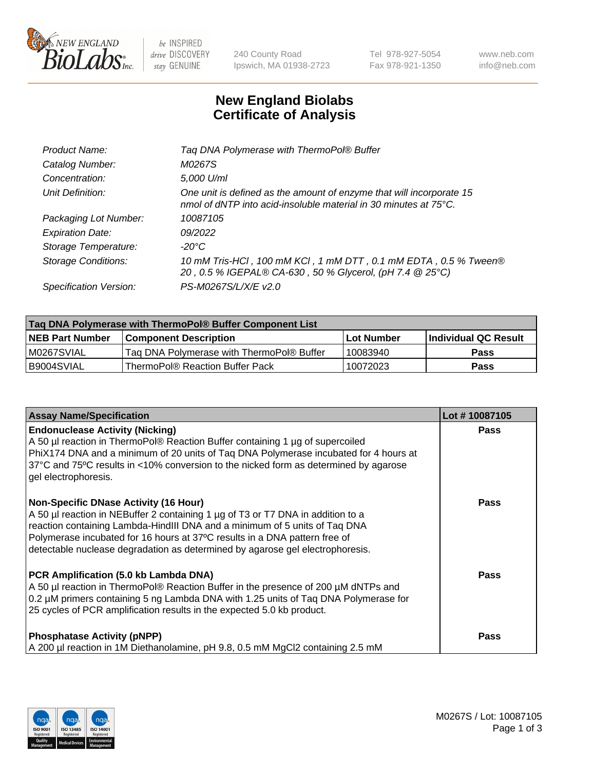

be INSPIRED drive DISCOVERY stay GENUINE

240 County Road Ipswich, MA 01938-2723 Tel 978-927-5054 Fax 978-921-1350 www.neb.com info@neb.com

## **New England Biolabs Certificate of Analysis**

| Tag DNA Polymerase with ThermoPol® Buffer                                                                                                |
|------------------------------------------------------------------------------------------------------------------------------------------|
| M0267S                                                                                                                                   |
| 5,000 U/ml                                                                                                                               |
| One unit is defined as the amount of enzyme that will incorporate 15<br>nmol of dNTP into acid-insoluble material in 30 minutes at 75°C. |
| 10087105                                                                                                                                 |
| 09/2022                                                                                                                                  |
| $-20^{\circ}$ C                                                                                                                          |
| 10 mM Tris-HCl, 100 mM KCl, 1 mM DTT, 0.1 mM EDTA, 0.5 % Tween®<br>20, 0.5 % IGEPAL® CA-630, 50 % Glycerol, (pH 7.4 @ 25°C)              |
| PS-M0267S/L/X/E v2.0                                                                                                                     |
|                                                                                                                                          |

| Tag DNA Polymerase with ThermoPol® Buffer Component List |                                           |                   |                      |  |  |
|----------------------------------------------------------|-------------------------------------------|-------------------|----------------------|--|--|
| <b>NEB Part Number</b>                                   | <b>Component Description</b>              | <b>Lot Number</b> | Individual QC Result |  |  |
| M0267SVIAL                                               | Tag DNA Polymerase with ThermoPol® Buffer | 10083940          | Pass                 |  |  |
| B9004SVIAL                                               | ThermoPol® Reaction Buffer Pack           | 10072023          | Pass                 |  |  |

| <b>Assay Name/Specification</b>                                                                                                                                                                                                                                                                                                                                              | Lot #10087105 |
|------------------------------------------------------------------------------------------------------------------------------------------------------------------------------------------------------------------------------------------------------------------------------------------------------------------------------------------------------------------------------|---------------|
| <b>Endonuclease Activity (Nicking)</b><br>A 50 µl reaction in ThermoPol® Reaction Buffer containing 1 µg of supercoiled<br>PhiX174 DNA and a minimum of 20 units of Taq DNA Polymerase incubated for 4 hours at<br>37°C and 75°C results in <10% conversion to the nicked form as determined by agarose<br>gel electrophoresis.                                              | <b>Pass</b>   |
| <b>Non-Specific DNase Activity (16 Hour)</b><br>A 50 µl reaction in NEBuffer 2 containing 1 µg of T3 or T7 DNA in addition to a<br>reaction containing Lambda-HindIII DNA and a minimum of 5 units of Taq DNA<br>Polymerase incubated for 16 hours at 37°C results in a DNA pattern free of<br>detectable nuclease degradation as determined by agarose gel electrophoresis. | Pass          |
| PCR Amplification (5.0 kb Lambda DNA)<br>A 50 µl reaction in ThermoPol® Reaction Buffer in the presence of 200 µM dNTPs and<br>0.2 µM primers containing 5 ng Lambda DNA with 1.25 units of Taq DNA Polymerase for<br>25 cycles of PCR amplification results in the expected 5.0 kb product.                                                                                 | Pass          |
| <b>Phosphatase Activity (pNPP)</b><br>A 200 µl reaction in 1M Diethanolamine, pH 9.8, 0.5 mM MgCl2 containing 2.5 mM                                                                                                                                                                                                                                                         | <b>Pass</b>   |

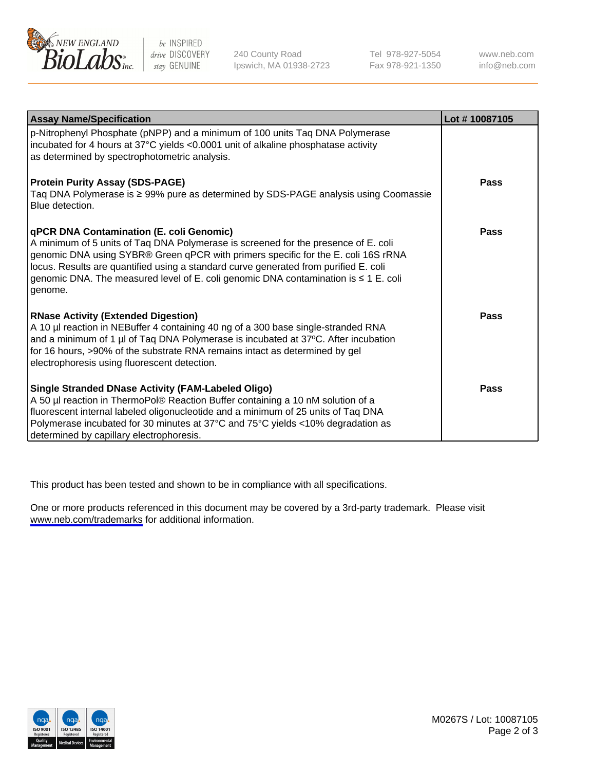

be INSPIRED drive DISCOVERY stay GENUINE

240 County Road Ipswich, MA 01938-2723 Tel 978-927-5054 Fax 978-921-1350

www.neb.com info@neb.com

| <b>Assay Name/Specification</b>                                                                                                                                                                                                                                                                                                                                                                                      | Lot #10087105 |
|----------------------------------------------------------------------------------------------------------------------------------------------------------------------------------------------------------------------------------------------------------------------------------------------------------------------------------------------------------------------------------------------------------------------|---------------|
| p-Nitrophenyl Phosphate (pNPP) and a minimum of 100 units Taq DNA Polymerase<br>incubated for 4 hours at 37°C yields <0.0001 unit of alkaline phosphatase activity<br>as determined by spectrophotometric analysis.                                                                                                                                                                                                  |               |
| <b>Protein Purity Assay (SDS-PAGE)</b><br>Taq DNA Polymerase is ≥ 99% pure as determined by SDS-PAGE analysis using Coomassie<br>Blue detection.                                                                                                                                                                                                                                                                     | Pass          |
| <b>qPCR DNA Contamination (E. coli Genomic)</b><br>A minimum of 5 units of Taq DNA Polymerase is screened for the presence of E. coli<br>genomic DNA using SYBR® Green qPCR with primers specific for the E. coli 16S rRNA<br>locus. Results are quantified using a standard curve generated from purified E. coli<br>genomic DNA. The measured level of E. coli genomic DNA contamination is ≤ 1 E. coli<br>genome. | Pass          |
| <b>RNase Activity (Extended Digestion)</b><br>A 10 µl reaction in NEBuffer 4 containing 40 ng of a 300 base single-stranded RNA<br>and a minimum of 1 µl of Taq DNA Polymerase is incubated at 37°C. After incubation<br>for 16 hours, >90% of the substrate RNA remains intact as determined by gel<br>electrophoresis using fluorescent detection.                                                                 | Pass          |
| Single Stranded DNase Activity (FAM-Labeled Oligo)<br>A 50 µl reaction in ThermoPol® Reaction Buffer containing a 10 nM solution of a<br>fluorescent internal labeled oligonucleotide and a minimum of 25 units of Taq DNA<br>Polymerase incubated for 30 minutes at 37°C and 75°C yields <10% degradation as<br>determined by capillary electrophoresis.                                                            | <b>Pass</b>   |

This product has been tested and shown to be in compliance with all specifications.

One or more products referenced in this document may be covered by a 3rd-party trademark. Please visit <www.neb.com/trademarks>for additional information.